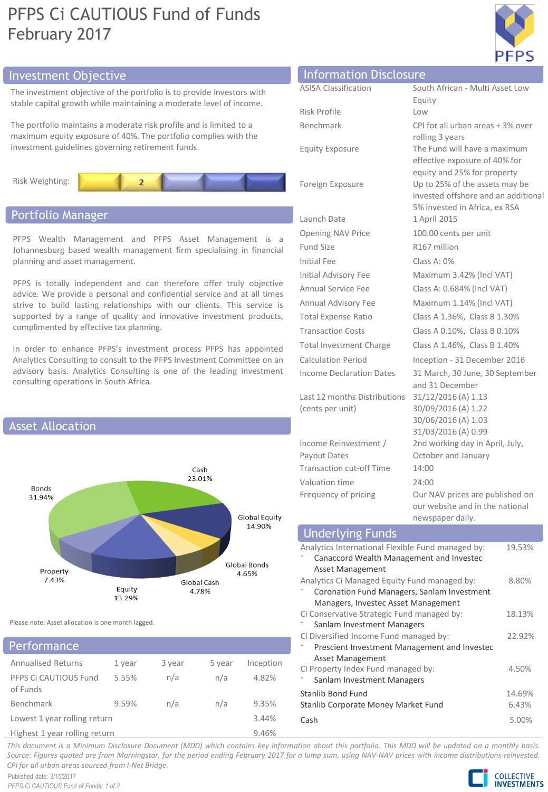# PFPS Ci CAUTIOUS Fund of Funds February 2017



# Investment Objective Information Disclosure Information Disclosure

The investment objective of the portfolio is to provide investors with stable capital growth while maintaining a moderate level of income.

The portfolio maintains a moderate risk profile and is limited to a maximum equity exposure of 40%. The portfolio complies with the investment guidelines governing retirement funds.



# Portfolio Manager

PFPS Wealth Management and PFPS Asset Management is a Johannesburg based wealth management firm specialising in financial planning and asset management.

PFPS is totally independent and can therefore offer truly objective advice. We provide a personal and confidential service and at all times strive to build lasting relationships with our clients. This service is supported by a range of quality and innovative investment products, complimented by effective tax planning.

In order to enhance PFPS's investment process PFPS has appointed Analytics Consulting to consult to the PFPS Investment Committee on an advisory basis. Analytics Consulting is one of the leading investment consulting operations in South Africa.



Please note: Asset allocation is one month lagged.

|  |  |  | Performance |  |  |
|--|--|--|-------------|--|--|
|  |  |  |             |  |  |

| <b>Annualised Returns</b>         | 1 year | 3 year | 5 year | Inception |
|-----------------------------------|--------|--------|--------|-----------|
| PFPS Ci CAUTIOUS Fund<br>of Funds | 5.55%  | n/a    | n/a    | 4.82%     |
| Benchmark                         | 9.59%  | n/a    | n/a    | 9.35%     |
| Lowest 1 year rolling return      |        |        |        | 3.44%     |
| Highest 1 year rolling return     |        |        |        | 9.46%     |

| Information Disclosure          |                                                              |
|---------------------------------|--------------------------------------------------------------|
| <b>ASISA Classification</b>     | South African - Multi Asset Low                              |
|                                 | Equity                                                       |
| Risk Profile                    | Low                                                          |
| <b>Benchmark</b>                | CPI for all urban areas + 3% over                            |
|                                 | rolling 3 years                                              |
| <b>Equity Exposure</b>          | The Fund will have a maximum                                 |
|                                 | effective exposure of 40% for<br>equity and 25% for property |
| Foreign Exposure                | Up to 25% of the assets may be                               |
|                                 | invested offshore and an additional                          |
|                                 | 5% invested in Africa, ex RSA                                |
| Launch Date                     | 1 April 2015                                                 |
| Opening NAV Price               | 100.00 cents per unit                                        |
| <b>Fund Size</b>                | R167 million                                                 |
| <b>Initial Fee</b>              | Class A: $0\%$                                               |
| Initial Advisory Fee            | Maximum 3.42% (Incl VAT)                                     |
| Annual Service Fee              | Class A: 0.684% (Incl VAT)                                   |
| Annual Advisory Fee             | Maximum 1.14% (Incl VAT)                                     |
| <b>Total Expense Ratio</b>      | Class A 1.36%, Class B 1.30%                                 |
| <b>Transaction Costs</b>        | Class A 0.10%, Class B 0.10%                                 |
| Total Investment Charge         | Class A 1.46%, Class B 1.40%                                 |
| <b>Calculation Period</b>       | Inception - 31 December 2016                                 |
| <b>Income Declaration Dates</b> | 31 March, 30 June, 30 September                              |
|                                 | and 31 December                                              |
| Last 12 months Distributions    | 31/12/2016 (A) 1.13                                          |
| (cents per unit)                | 30/09/2016 (A) 1.22<br>30/06/2016 (A) 1.03                   |
|                                 | 31/03/2016 (A) 0.99                                          |
| Income Reinvestment /           | 2nd working day in April, July,                              |
| Payout Dates                    | October and January                                          |
| <b>Transaction cut-off Time</b> | 14:00                                                        |
| Valuation time                  | 24:00                                                        |
| Frequency of pricing            | Our NAV prices are published on                              |
|                                 | our website and in the national                              |
|                                 | newspaper daily.                                             |

| <b>Underlying Funds</b>                                                                                                            |                 |
|------------------------------------------------------------------------------------------------------------------------------------|-----------------|
| Analytics International Flexible Fund managed by:<br>Canaccord Wealth Management and Investec<br>Asset Management                  | 19.53%          |
| Analytics Ci Managed Equity Fund managed by:<br>Coronation Fund Managers, Sanlam Investment<br>Managers, Investec Asset Management | 8.80%           |
| Ci Conservative Strategic Fund managed by:<br>Sanlam Investment Managers                                                           | 18.13%          |
| Ci Diversified Income Fund managed by:<br>Prescient Investment Management and Investec<br>Asset Management                         | 22.92%          |
| Ci Property Index Fund managed by:<br>Sanlam Investment Managers                                                                   | 4.50%           |
| Stanlib Bond Fund<br>Stanlib Corporate Money Market Fund                                                                           | 14.69%<br>6.43% |
| Cash                                                                                                                               | 5.00%           |

This document is a Minimum Disclosure Document (MDD) which contains key information about this portfolio. This MDD will be updated on a monthly basis. Source: Figures guoted are from Morningstar, for the period ending February 2017 for a lump sum, using NAV-NAV prices with income distributions reinvested. *CPI for all urban areas sourced from I-Net Bridge.*

Published date: 3/15/2017 *PFPS Ci CAUTIOUS Fund of Funds: 1 of 2*